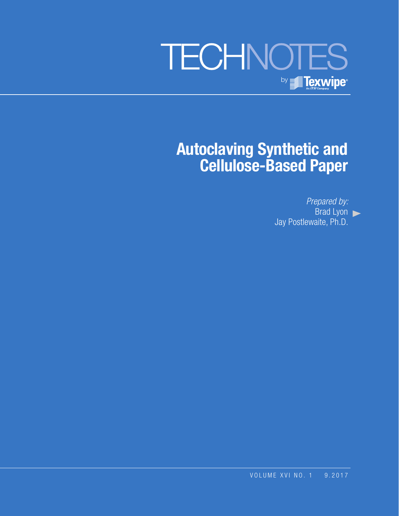

# **Autoclaving Synthetic and Cellulose-Based Paper**

*Prepared by:* Brad Lyon Jay Postlewaite, Ph.D.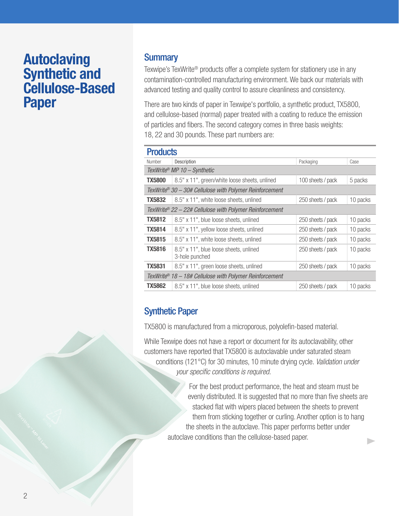## **Autoclaving Synthetic and Cellulose-Based Paper**

## **Summary**

Texwipe's TexWrite® products offer a complete system for stationery use in any contamination-controlled manufacturing environment. We back our materials with advanced testing and quality control to assure cleanliness and consistency.

There are two kinds of paper in Texwipe's portfolio, a synthetic product, TX5800, and cellulose-based (normal) paper treated with a coating to reduce the emission of particles and fibers. The second category comes in three basis weights: 18, 22 and 30 pounds. These part numbers are:

#### **Droducto**

| Description                                                         | Packaging         | Case     |
|---------------------------------------------------------------------|-------------------|----------|
| TexWrite® MP $10 -$ Synthetic                                       |                   |          |
| 8.5" x 11", green/white loose sheets, unlined                       | 100 sheets / pack | 5 packs  |
| TexWrite® 30 - 30# Cellulose with Polymer Reinforcement             |                   |          |
| 8.5" x 11", white loose sheets, unlined                             | 250 sheets / pack | 10 packs |
| TexWrite <sup>®</sup> 22 – 22# Cellulose with Polymer Reinforcement |                   |          |
| 8.5" x 11", blue loose sheets, unlined                              | 250 sheets / pack | 10 packs |
| 8.5" x 11", yellow loose sheets, unlined                            | 250 sheets / pack | 10 packs |
| 8.5" x 11", white loose sheets, unlined                             | 250 sheets / pack | 10 packs |
| 8.5" x 11", blue loose sheets, unlined<br>3-hole punched            | 250 sheets / pack | 10 packs |
| 8.5" x 11", green loose sheets, unlined                             | 250 sheets / pack | 10 packs |
| TexWrite® $18 - 18$ # Cellulose with Polymer Reinforcement          |                   |          |
| 8.5" x 11", blue loose sheets, unlined                              | 250 sheets / pack | 10 packs |
|                                                                     |                   |          |

## Synthetic Paper

TX5800 is manufactured from a microporous, polyolefin-based material.

While Texwipe does not have a report or document for its autoclavability, other customers have reported that TX5800 is autoclavable under saturated steam conditions (121°C) for 30 minutes, 10 minute drying cycle. *Validation under your specific conditions is required.*

> For the best product performance, the heat and steam must be evenly distributed. It is suggested that no more than five sheets are stacked flat with wipers placed between the sheets to prevent them from sticking together or curling. Another option is to hang the sheets in the autoclave. This paper performs better under autoclave conditions than the cellulose-based paper. D.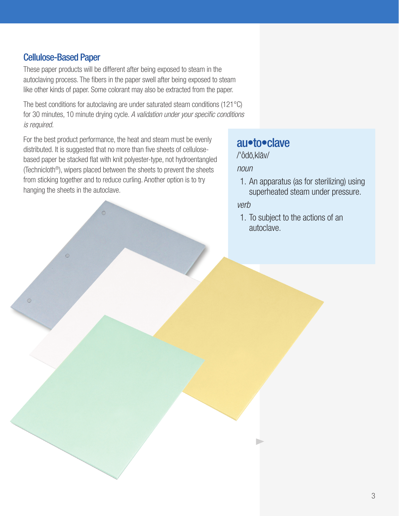### Cellulose-Based Paper

These paper products will be different after being exposed to steam in the autoclaving process. The fibers in the paper swell after being exposed to steam like other kinds of paper. Some colorant may also be extracted from the paper.

The best conditions for autoclaving are under saturated steam conditions (121°C) for 30 minutes, 10 minute drying cycle. *A validation under your specific conditions is required.*

For the best product performance, the heat and steam must be evenly distributed. It is suggested that no more than five sheets of cellulosebased paper be stacked flat with knit polyester-type, not hydroentangled (Technicloth®), wipers placed between the sheets to prevent the sheets from sticking together and to reduce curling. Another option is to try hanging the sheets in the autoclave.

## au•to•clave

/'ôdō,klāv/

*noun*

1. An apparatus (as for sterilizing) using superheated steam under pressure.

*verb*

1. To subject to the actions of an autoclave.